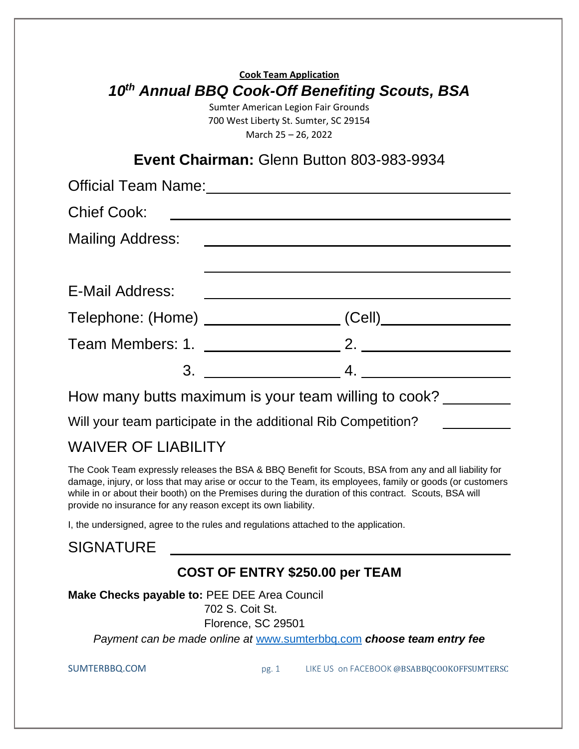### WAIVER OF LIABILITY

The Cook Team expressly releases the BSA & BBQ Benefit for Scouts, BSA from any and all liability for damage, injury, or loss that may arise or occur to the Team, its employees, family or goods (or customers while in or about their booth) on the Premises during the duration of this contract. Scouts, BSA will provide no insurance for any reason except its own liability.

I, the undersigned, agree to the rules and regulations attached to the application.

#### **SIGNATURE**

#### **COST OF ENTRY \$250.00 per TEAM**

**Make Checks payable to:** PEE DEE Area Council 702 S. Coit St.

Florence, SC 29501

*Payment can be made online at* [www.sumterbbq.com](about:blank) *choose team entry fee*

SUMTERBBQ.COM pg. 1 LIKE US on FACEBOOK @BSABBQCOOKOFFSUMTERSC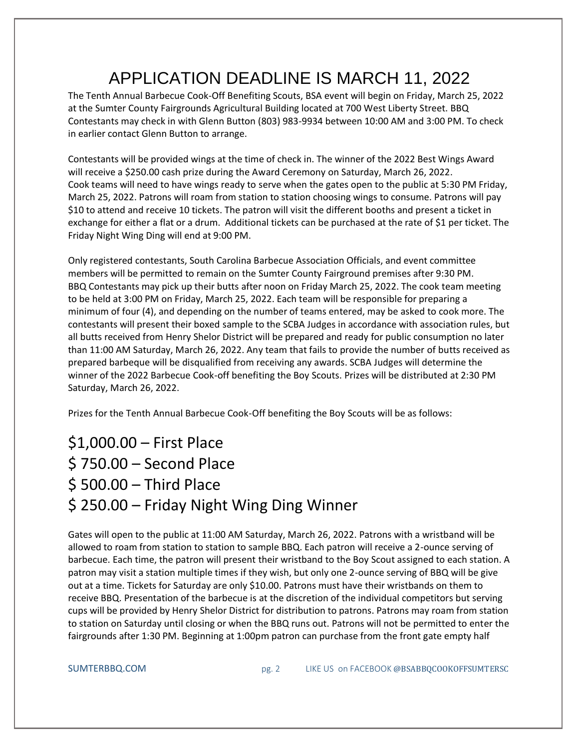# APPLICATION DEADLINE IS MARCH 11, 2022

The Tenth Annual Barbecue Cook-Off Benefiting Scouts, BSA event will begin on Friday, March 25, 2022 at the Sumter County Fairgrounds Agricultural Building located at 700 West Liberty Street. BBQ Contestants may check in with Glenn Button (803) 983-9934 between 10:00 AM and 3:00 PM. To check in earlier contact Glenn Button to arrange.

Contestants will be provided wings at the time of check in. The winner of the 2022 Best Wings Award will receive a \$250.00 cash prize during the Award Ceremony on Saturday, March 26, 2022. Cook teams will need to have wings ready to serve when the gates open to the public at 5:30 PM Friday, March 25, 2022. Patrons will roam from station to station choosing wings to consume. Patrons will pay \$10 to attend and receive 10 tickets. The patron will visit the different booths and present a ticket in exchange for either a flat or a drum. Additional tickets can be purchased at the rate of \$1 per ticket. The Friday Night Wing Ding will end at 9:00 PM.

Only registered contestants, South Carolina Barbecue Association Officials, and event committee members will be permitted to remain on the Sumter County Fairground premises after 9:30 PM. BBQ Contestants may pick up their butts after noon on Friday March 25, 2022. The cook team meeting to be held at 3:00 PM on Friday, March 25, 2022. Each team will be responsible for preparing a minimum of four (4), and depending on the number of teams entered, may be asked to cook more. The contestants will present their boxed sample to the SCBA Judges in accordance with association rules, but all butts received from Henry Shelor District will be prepared and ready for public consumption no later than 11:00 AM Saturday, March 26, 2022. Any team that fails to provide the number of butts received as prepared barbeque will be disqualified from receiving any awards. SCBA Judges will determine the winner of the 2022 Barbecue Cook-off benefiting the Boy Scouts. Prizes will be distributed at 2:30 PM Saturday, March 26, 2022.

Prizes for the Tenth Annual Barbecue Cook-Off benefiting the Boy Scouts will be as follows:

## \$1,000.00 – First Place \$ 750.00 – Second Place \$ 500.00 – Third Place \$ 250.00 – Friday Night Wing Ding Winner

Gates will open to the public at 11:00 AM Saturday, March 26, 2022. Patrons with a wristband will be allowed to roam from station to station to sample BBQ. Each patron will receive a 2-ounce serving of barbecue. Each time, the patron will present their wristband to the Boy Scout assigned to each station. A patron may visit a station multiple times if they wish, but only one 2-ounce serving of BBQ will be give out at a time. Tickets for Saturday are only \$10.00. Patrons must have their wristbands on them to receive BBQ. Presentation of the barbecue is at the discretion of the individual competitors but serving cups will be provided by Henry Shelor District for distribution to patrons. Patrons may roam from station to station on Saturday until closing or when the BBQ runs out. Patrons will not be permitted to enter the fairgrounds after 1:30 PM. Beginning at 1:00pm patron can purchase from the front gate empty half